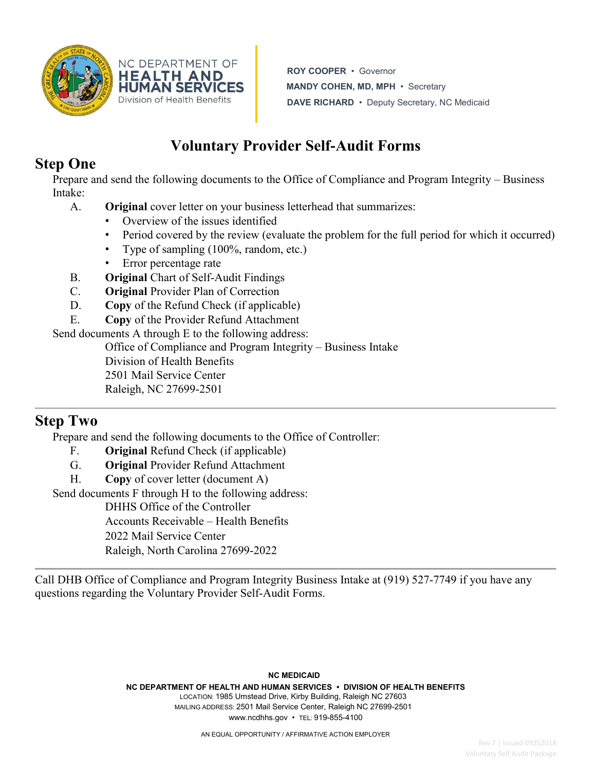

NC DEPARTMENT OF **HEALTH AND HUMAN SERVICES** Division of Health Benefits

**ROY COOPER** • Governor **MANDY COHEN, MD, MPH** • Secretary **DAVE RICHARD** • Deputy Secretary, NC Medicaid

# **Voluntary Provider Self**‐**Audit Forms**

## **Step One**

Prepare and send the following documents to the Office of Compliance and Program Integrity – Business Intake:

- A. **Original** cover letter on your business letterhead that summarizes:
	- Overview of the issues identified
	- Period covered by the review (evaluate the problem for the full period for which it occurred)
	- Type of sampling (100%, random, etc.)
	- Error percentage rate
- B. **Original** Chart of Self-Audit Findings
- C. **Original** Provider Plan of Correction
- D. **Copy** of the Refund Check (if applicable)
- E. **Copy** of the Provider Refund Attachment

Send documents A through E to the following address:

Office of Compliance and Program Integrity – Business Intake Division of Health Benefits

2501 Mail Service Center

Raleigh, NC 27699-2501

### **Step Two**

Prepare and send the following documents to the Office of Controller:

- F. **Original** Refund Check (if applicable)
- G. **Original** Provider Refund Attachment
- H. **Copy** of cover letter (document A)

Send documents F through H to the following address:

DHHS Office of the Controller

Accounts Receivable – Health Benefits

2022 Mail Service Center

Raleigh, North Carolina 27699-2022

Call DHB Office of Compliance and Program Integrity Business Intake at (919) 527-7749 if you have any questions regarding the Voluntary Provider Self-Audit Forms.

> **NC MEDICAID NC DEPARTMENT OF HEALTH AND HUMAN SERVICES • DIVISION OF HEALTH BENEFITS** LOCATION: 1985 Umstead Drive, Kirby Building, Raleigh NC 27603 MAILING ADDRESS: 2501 Mail Service Center, Raleigh NC 27699-2501 www.ncdhhs.gov • TEL: 919-855-4100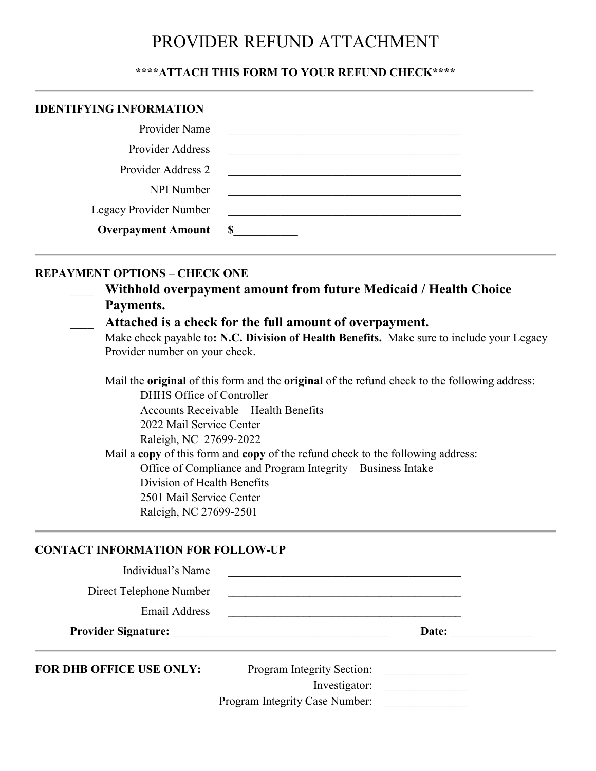## PROVIDER REFUND ATTACHMENT

#### **\*\*\*\*ATTACH THIS FORM TO YOUR REFUND CHECK\*\*\*\***

| <b>IDENTIFYING INFORMATION</b> |   |
|--------------------------------|---|
| Provider Name                  |   |
| <b>Provider Address</b>        |   |
| Provider Address 2             |   |
| NPI Number                     |   |
| Legacy Provider Number         |   |
| <b>Overpayment Amount</b>      | S |

#### **REPAYMENT OPTIONS – CHECK ONE**

| Withhold overpayment amount from future Medicaid / Health Choice |
|------------------------------------------------------------------|
| Payments.                                                        |

#### \_\_\_\_ **Attached is a check for the full amount of overpayment.**

Make check payable to**: N.C. Division of Health Benefits.** Make sure to include your Legacy Provider number on your check.

Mail the **original** of this form and the **original** of the refund check to the following address:

DHHS Office of Controller Accounts Receivable – Health Benefits

2022 Mail Service Center

Raleigh, NC 27699‐2022

Mail a **copy** of this form and **copy** of the refund check to the following address: Office of Compliance and Program Integrity – Business Intake

Division of Health Benefits 2501 Mail Service Center

Raleigh, NC 27699-2501

#### **CONTACT INFORMATION FOR FOLLOW-UP**

| Individual's Name               |                                                                                           |                                                                                                                      |  |
|---------------------------------|-------------------------------------------------------------------------------------------|----------------------------------------------------------------------------------------------------------------------|--|
| Direct Telephone Number         | <u> 1989 - John Stein, Amerikaansk politiker (</u>                                        |                                                                                                                      |  |
| Email Address                   |                                                                                           |                                                                                                                      |  |
| <b>Provider Signature:</b>      | the control of the control of the control of the control of the control of the control of | Date:                                                                                                                |  |
| <b>FOR DHB OFFICE USE ONLY:</b> | Program Integrity Section:<br>Investigator:<br>Program Integrity Case Number:             | <u> 1980 - Jan Barbara III, prima postala prima prima prima prima prima prima prima prima prima prima prima prim</u> |  |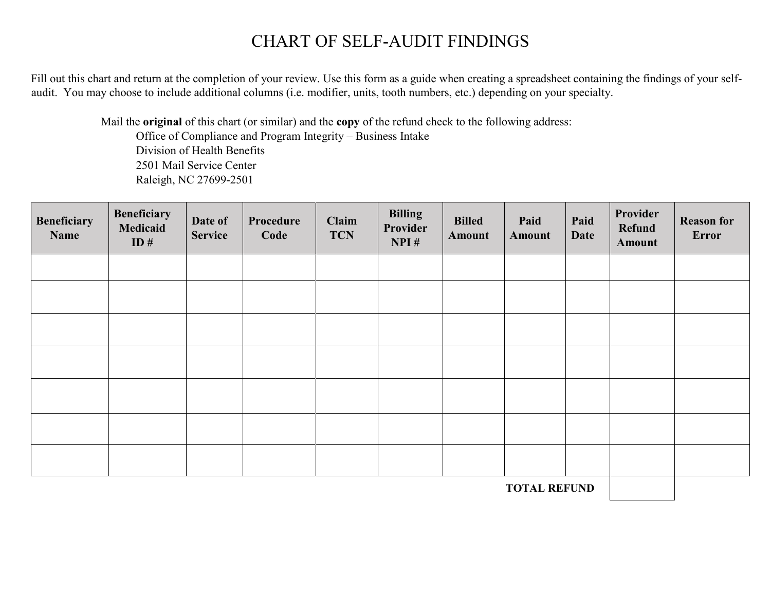## CHART OF SELF-AUDIT FINDINGS

Fill out this chart and return at the completion of your review. Use this form as a guide when creating a spreadsheet containing the findings of your selfaudit. You may choose to include additional columns (i.e. modifier, units, tooth numbers, etc.) depending on your specialty.

Mail the **original** of this chart (or similar) and the **copy** of the refund check to the following address: Office of Compliance and Program Integrity – Business Intake Division of Health Benefits 2501 Mail Service Center Raleigh, NC 27699-2501

| <b>Beneficiary</b><br>Name | <b>Beneficiary</b><br>Medicaid<br>ID# | Date of<br><b>Service</b> | Procedure<br>Code | Claim<br><b>TCN</b> | <b>Billing</b><br>Provider<br>NPI# | <b>Billed</b><br>Amount | Paid<br><b>Amount</b> | Paid<br><b>Date</b> | Provider<br>Refund<br><b>Amount</b> | <b>Reason for</b><br>Error |
|----------------------------|---------------------------------------|---------------------------|-------------------|---------------------|------------------------------------|-------------------------|-----------------------|---------------------|-------------------------------------|----------------------------|
|                            |                                       |                           |                   |                     |                                    |                         |                       |                     |                                     |                            |
|                            |                                       |                           |                   |                     |                                    |                         |                       |                     |                                     |                            |
|                            |                                       |                           |                   |                     |                                    |                         |                       |                     |                                     |                            |
|                            |                                       |                           |                   |                     |                                    |                         |                       |                     |                                     |                            |
|                            |                                       |                           |                   |                     |                                    |                         |                       |                     |                                     |                            |
|                            |                                       |                           |                   |                     |                                    |                         |                       |                     |                                     |                            |
|                            |                                       |                           |                   |                     |                                    |                         |                       |                     |                                     |                            |

**TOTAL REFUND**